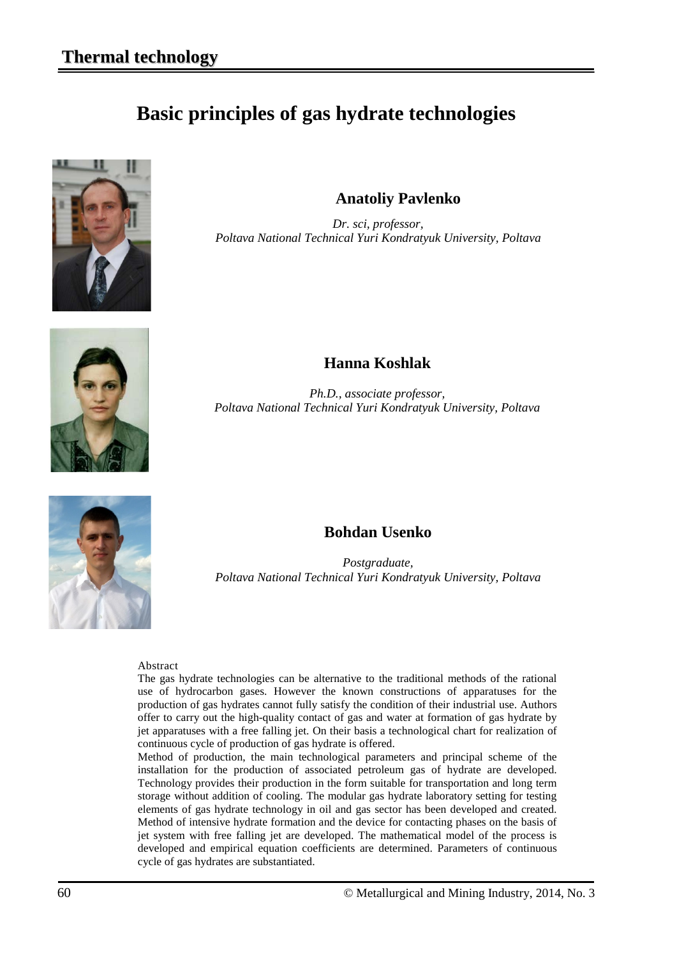# **Basic principles of gas hydrate technologies**



**Anatoliy Pavlenko**

*Dr. sci, professor, Poltava National Technical Yuri Kondratyuk University, Poltava*



### **Hanna Koshlak**

*Ph.D., associate professor, Poltava National Technical Yuri Kondratyuk University, Poltava*



### **Bohdan Usenko**

*Postgraduate, Poltava National Technical Yuri Kondratyuk University, Poltava*

#### Abstract

The gas hydrate technologies can be alternative to the traditional methods of the rational use of hydrocarbon gases. However the known constructions of apparatuses for the production of gas hydrates cannot fully satisfy the condition of their industrial use. Authors offer to carry out the high-quality contact of gas and water at formation of gas hydrate by jet apparatuses with a free falling jet. On their basis a technological chart for realization of continuous cycle of production of gas hydrate is offered.

Method of production, the main technological parameters and principal scheme of the installation for the production of associated petroleum gas of hydrate are developed. Technology provides their production in the form suitable for transportation and long term storage without addition of cooling. The modular gas hydrate laboratory setting for testing elements of gas hydrate technology in oil and gas sector has been developed and created. Method of intensive hydrate formation and the device for contacting phases on the basis of jet system with free falling jet are developed. The mathematical model of the process is developed and empirical equation coefficients are determined. Parameters of continuous cycle of gas hydrates are substantiated.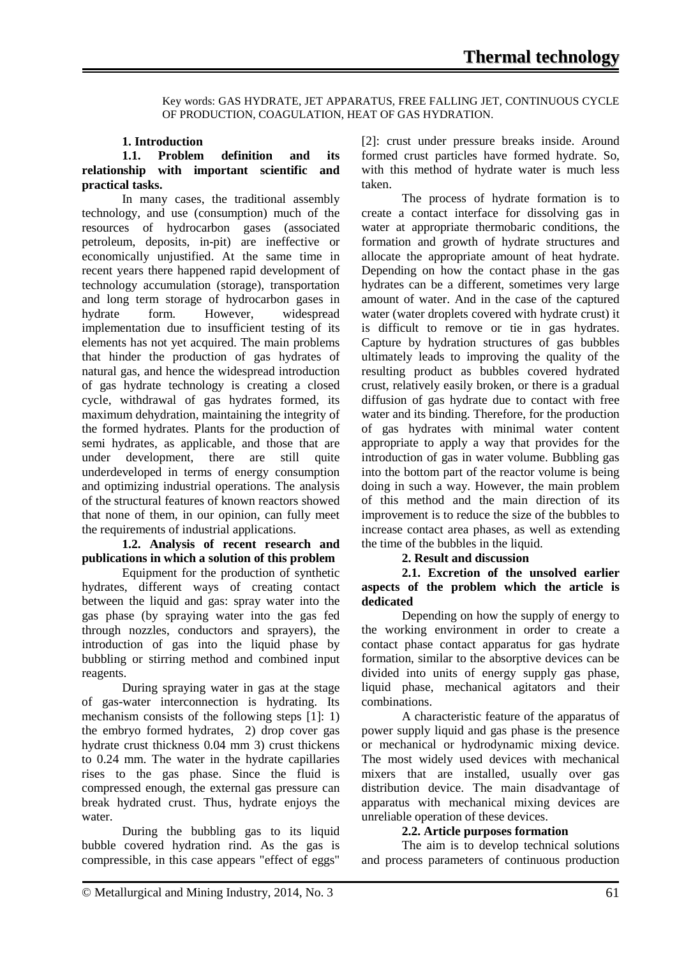Key words: GAS HYDRATE, JET APPARATUS, FREE FALLING JET, CONTINUOUS CYCLE OF PRODUCTION, COAGULATION, HEAT OF GAS HYDRATION.

#### **1. Introduction**

#### **1.1. Problem definition and its relationship with important scientific and practical tasks.**

In many cases, the traditional assembly technology, and use (consumption) much of the resources of hydrocarbon gases (associated petroleum, deposits, in-pit) are ineffective or economically unjustified. At the same time in recent years there happened rapid development of technology accumulation (storage), transportation and long term storage of hydrocarbon gases in hydrate form. However, widespread implementation due to insufficient testing of its elements has not yet acquired. The main problems that hinder the production of gas hydrates of natural gas, and hence the widespread introduction of gas hydrate technology is creating a closed cycle, withdrawal of gas hydrates formed, its maximum dehydration, maintaining the integrity of the formed hydrates. Plants for the production of semi hydrates, as applicable, and those that are under development, there are still quite underdeveloped in terms of energy consumption and optimizing industrial operations. The analysis of the structural features of known reactors showed that none of them, in our opinion, can fully meet the requirements of industrial applications.

#### **1.2. Analysis of recent research and publications in which a solution of this problem**

Equipment for the production of synthetic hydrates, different ways of creating contact between the liquid and gas: spray water into the gas phase (by spraying water into the gas fed through nozzles, conductors and sprayers), the introduction of gas into the liquid phase by bubbling or stirring method and combined input reagents.

During spraying water in gas at the stage of gas-water interconnection is hydrating. Its mechanism consists of the following steps [1]: 1) the embryo formed hydrates, 2) drop cover gas hydrate crust thickness 0.04 mm 3) crust thickens to 0.24 mm. The water in the hydrate capillaries rises to the gas phase. Since the fluid is compressed enough, the external gas pressure can break hydrated crust. Thus, hydrate enjoys the water.

During the bubbling gas to its liquid bubble covered hydration rind. As the gas is compressible, in this case appears "effect of eggs"

[2]: crust under pressure breaks inside. Around formed crust particles have formed hydrate. So, with this method of hydrate water is much less taken.

The process of hydrate formation is to create a contact interface for dissolving gas in water at appropriate thermobaric conditions, the formation and growth of hydrate structures and allocate the appropriate amount of heat hydrate. Depending on how the contact phase in the gas hydrates can be a different, sometimes very large amount of water. And in the case of the captured water (water droplets covered with hydrate crust) it is difficult to remove or tie in gas hydrates. Capture by hydration structures of gas bubbles ultimately leads to improving the quality of the resulting product as bubbles covered hydrated crust, relatively easily broken, or there is a gradual diffusion of gas hydrate due to contact with free water and its binding. Therefore, for the production of gas hydrates with minimal water content appropriate to apply a way that provides for the introduction of gas in water volume. Bubbling gas into the bottom part of the reactor volume is being doing in such a way. However, the main problem of this method and the main direction of its improvement is to reduce the size of the bubbles to increase contact area phases, as well as extending the time of the bubbles in the liquid.

#### **2. Result and discussion**

**2.1. Excretion of the unsolved earlier aspects of the problem which the article is dedicated**

Depending on how the supply of energy to the working environment in order to create a contact phase contact apparatus for gas hydrate formation, similar to the absorptive devices can be divided into units of energy supply gas phase, liquid phase, mechanical agitators and their combinations.

A characteristic feature of the apparatus of power supply liquid and gas phase is the presence or mechanical or hydrodynamic mixing device. The most widely used devices with mechanical mixers that are installed, usually over gas distribution device. The main disadvantage of apparatus with mechanical mixing devices are unreliable operation of these devices.

### **2.2. Article purposes formation**

The aim is to develop technical solutions and process parameters of continuous production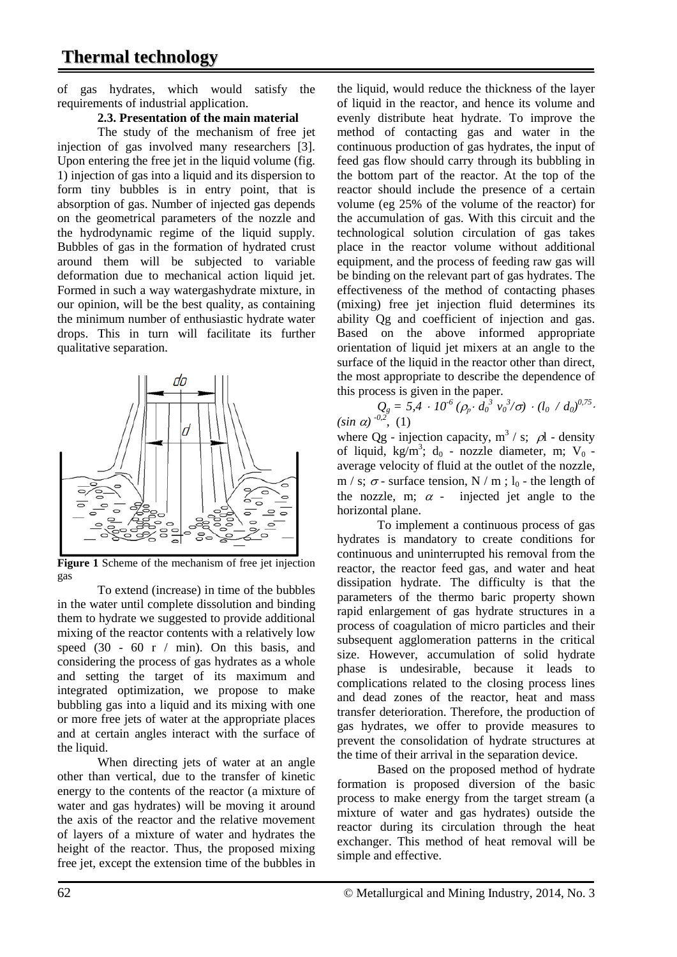## **Thermal technology**

of gas hydrates, which would satisfy the requirements of industrial application.

#### **2.3. Presentation of the main material**

The study of the mechanism of free jet injection of gas involved many researchers [3]. Upon entering the free jet in the liquid volume (fig. 1) injection of gas into a liquid and its dispersion to form tiny bubbles is in entry point, that is absorption of gas. Number of injected gas depends on the geometrical parameters of the nozzle and the hydrodynamic regime of the liquid supply. Bubbles of gas in the formation of hydrated crust around them will be subjected to variable deformation due to mechanical action liquid jet. Formed in such a way watergashydrate mixture, in our opinion, will be the best quality, as containing the minimum number of enthusiastic hydrate water drops. This in turn will facilitate its further qualitative separation.



Figure 1 Scheme of the mechanism of free jet injection gas

To extend (increase) in time of the bubbles in the water until complete dissolution and binding them to hydrate we suggested to provide additional mixing of the reactor contents with a relatively low speed  $(30 - 60 \text{ r} / \text{min})$ . On this basis, and considering the process of gas hydrates as a whole and setting the target of its maximum and integrated optimization, we propose to make bubbling gas into a liquid and its mixing with one or more free jets of water at the appropriate places and at certain angles interact with the surface of the liquid.

When directing jets of water at an angle other than vertical, due to the transfer of kinetic energy to the contents of the reactor (a mixture of water and gas hydrates) will be moving it around the axis of the reactor and the relative movement of layers of a mixture of water and hydrates the height of the reactor. Thus, the proposed mixing free jet, except the extension time of the bubbles in

the liquid, would reduce the thickness of the layer of liquid in the reactor, and hence its volume and evenly distribute heat hydrate. To improve the method of contacting gas and water in the continuous production of gas hydrates, the input of feed gas flow should carry through its bubbling in the bottom part of the reactor. At the top of the reactor should include the presence of a certain volume (eg 25% of the volume of the reactor) for the accumulation of gas. With this circuit and the technological solution circulation of gas takes place in the reactor volume without additional equipment, and the process of feeding raw gas will be binding on the relevant part of gas hydrates. The effectiveness of the method of contacting phases (mixing) free jet injection fluid determines its ability Qg and coefficient of injection and gas. Based on the above informed appropriate orientation of liquid jet mixers at an angle to the surface of the liquid in the reactor other than direct, the most appropriate to describe the dependence of this process is given in the paper.

 $Q_g = 5.4 \cdot 10^{-6} (\rho_p \cdot d_0^3 \nu_0^3 / \sigma) \cdot (l_0 / d_0)^{0.75}$ .<br>(sin  $\alpha$ ) <sup>-0,2</sup>, (1)

where Qg - injection capacity,  $m^3 / s$ ;  $\rho l$  - density of liquid, kg/m<sup>3</sup>; d<sub>0</sub> - nozzle diameter, m; V<sub>0</sub> average velocity of fluid at the outlet of the nozzle, m / s;  $\sigma$  - surface tension, N / m ;  $l_0$  - the length of the nozzle, m;  $\alpha$  - injected jet angle to the horizontal plane.

To implement a continuous process of gas hydrates is mandatory to create conditions for continuous and uninterrupted his removal from the reactor, the reactor feed gas, and water and heat dissipation hydrate. The difficulty is that the parameters of the thermo baric property shown rapid enlargement of gas hydrate structures in a process of coagulation of micro particles and their subsequent agglomeration patterns in the critical size. However, accumulation of solid hydrate phase is undesirable, because it leads to complications related to the closing process lines and dead zones of the reactor, heat and mass transfer deterioration. Therefore, the production of gas hydrates, we offer to provide measures to prevent the consolidation of hydrate structures at the time of their arrival in the separation device.

Based on the proposed method of hydrate formation is proposed diversion of the basic process to make energy from the target stream (a mixture of water and gas hydrates) outside the reactor during its circulation through the heat exchanger. This method of heat removal will be simple and effective.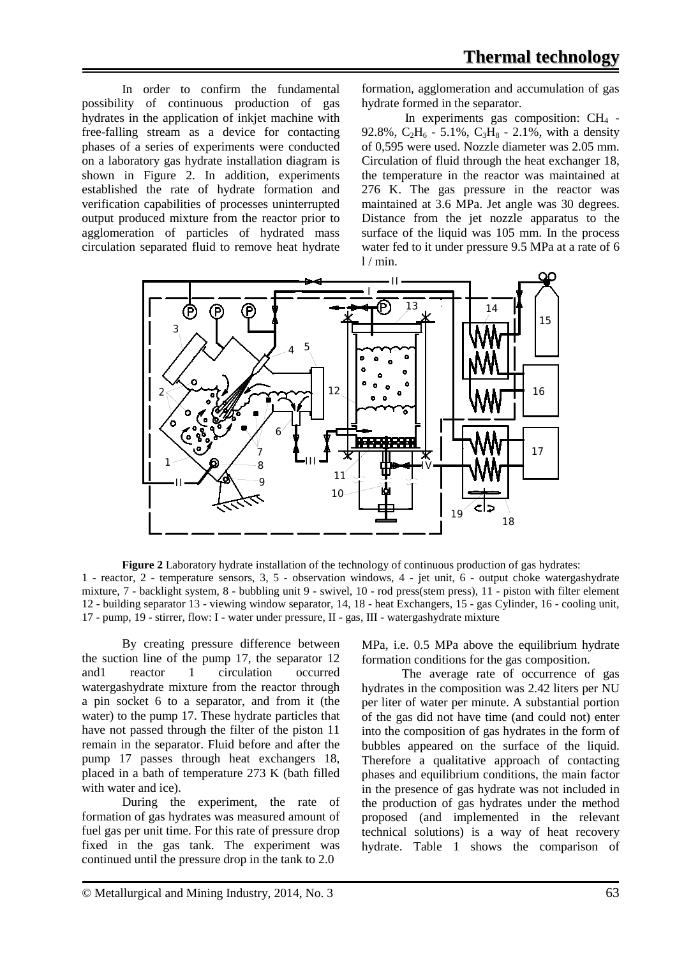In order to confirm the fundamental possibility of continuous production of gas hydrates in the application of inkjet machine with free-falling stream as a device for contacting phases of a series of experiments were conducted on a laboratory gas hydrate installation diagram is shown in Figure 2. In addition, experiments established the rate of hydrate formation and verification capabilities of processes uninterrupted output produced mixture from the reactor prior to agglomeration of particles of hydrated mass circulation separated fluid to remove heat hydrate

formation, agglomeration and accumulation of gas hydrate formed in the separator.

In experiments gas composition:  $CH<sub>4</sub>$  -92.8%,  $C_2H_6 - 5.1\%$ ,  $C_3H_8 - 2.1\%$ , with a density of 0,595 were used. Nozzle diameter was 2.05 mm. Circulation of fluid through the heat exchanger 18, the temperature in the reactor was maintained at 276 K. The gas pressure in the reactor was maintained at 3.6 MPa. Jet angle was 30 degrees. Distance from the jet nozzle apparatus to the surface of the liquid was 105 mm. In the process water fed to it under pressure 9.5 MPa at a rate of 6  $1 / min$ .



**Figure 2** Laboratory hydrate installation of the technology of continuous production of gas hydrates: 1 - reactor, 2 - temperature sensors, 3, 5 - observation windows, 4 - jet unit, 6 - output choke watergashydrate mixture, 7 - backlight system, 8 - bubbling unit 9 - swivel, 10 - rod press(stem press), 11 - piston with filter element 12 - building separator 13 - viewing window separator, 14, 18 - heat Exchangers, 15 - gas Cylinder, 16 - cooling unit, 17 - pump, 19 - stirrer, flow: I - water under pressure, II - gas, III - watergashydrate mixture

By creating pressure difference between the suction line of the pump 17, the separator 12 and1 reactor 1 circulation occurred watergashydrate mixture from the reactor through a pin socket 6 to a separator, and from it (the water) to the pump 17. These hydrate particles that have not passed through the filter of the piston 11 remain in the separator. Fluid before and after the pump 17 passes through heat exchangers 18, placed in a bath of temperature 273 K (bath filled with water and ice).

During the experiment, the rate of formation of gas hydrates was measured amount of fuel gas per unit time. For this rate of pressure drop fixed in the gas tank. The experiment was continued until the pressure drop in the tank to 2.0

MPa, i.e. 0.5 MPa above the equilibrium hydrate formation conditions for the gas composition.

The average rate of occurrence of gas hydrates in the composition was 2.42 liters per NU per liter of water per minute. A substantial portion of the gas did not have time (and could not) enter into the composition of gas hydrates in the form of bubbles appeared on the surface of the liquid. Therefore a qualitative approach of contacting phases and equilibrium conditions, the main factor in the presence of gas hydrate was not included in the production of gas hydrates under the method proposed (and implemented in the relevant technical solutions) is a way of heat recovery hydrate. Table 1 shows the comparison of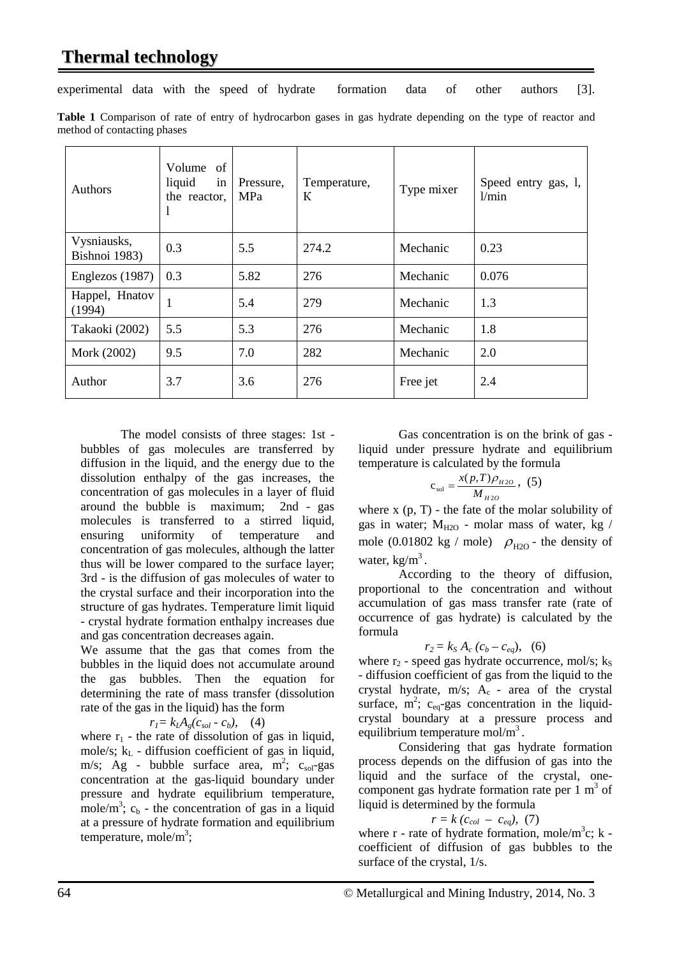## **Thermal technology**

experimental data with the speed of hydrate formation data of other authors [3].

| Table 1 Comparison of rate of entry of hydrocarbon gases in gas hydrate depending on the type of reactor and |  |  |  |  |  |  |  |  |
|--------------------------------------------------------------------------------------------------------------|--|--|--|--|--|--|--|--|
| method of contacting phases                                                                                  |  |  |  |  |  |  |  |  |

| Authors                      | Volume<br>of<br>liquid<br>in<br>the reactor, | Pressure,<br>MPa | Temperature,<br>К | Type mixer | Speed entry gas, 1,<br>1/min |  |
|------------------------------|----------------------------------------------|------------------|-------------------|------------|------------------------------|--|
| Vysniausks,<br>Bishnoi 1983) | 0.3                                          | 5.5              | 274.2             | Mechanic   | 0.23                         |  |
| Englezos (1987)              | 0.3                                          | 5.82             | 276               | Mechanic   | 0.076                        |  |
| Happel, Hnatov<br>(1994)     |                                              | 5.4              | 279               | Mechanic   | 1.3                          |  |
| Takaoki (2002)               | 5.5                                          | 5.3              | 276               | Mechanic   | 1.8                          |  |
| Mork (2002)                  | 9.5                                          | 7.0              | 282               | Mechanic   | 2.0                          |  |
| Author                       | 3.7                                          | 3.6              | 276               | Free jet   | 2.4                          |  |

The model consists of three stages: 1st bubbles of gas molecules are transferred by diffusion in the liquid, and the energy due to the dissolution enthalpy of the gas increases, the concentration of gas molecules in a layer of fluid around the bubble is maximum; 2nd - gas molecules is transferred to a stirred liquid, ensuring uniformity of temperature and concentration of gas molecules, although the latter thus will be lower compared to the surface layer; 3rd - is the diffusion of gas molecules of water to the crystal surface and their incorporation into the structure of gas hydrates. Temperature limit liquid - crystal hydrate formation enthalpy increases due and gas concentration decreases again.

We assume that the gas that comes from the bubbles in the liquid does not accumulate around the gas bubbles. Then the equation for determining the rate of mass transfer (dissolution rate of the gas in the liquid) has the form

$$
r_l = k_l A_g (c_{sol} - c_b), \quad (4)
$$

where  $r_1$  - the rate of dissolution of gas in liquid, mole/s;  $k<sub>L</sub>$  - diffusion coefficient of gas in liquid, m/s; Ag - bubble surface area,  $m^2$ ;  $c_{\text{sol}}$ -gas concentration at the gas-liquid boundary under pressure and hydrate equilibrium temperature, mole/m<sup>3</sup>;  $c_b$  - the concentration of gas in a liquid at a pressure of hydrate formation and equilibrium temperature, mole/m<sup>3</sup>;

Gas concentration is on the brink of gas liquid under pressure hydrate and equilibrium temperature is calculated by the formula

$$
c_{\text{sol}} = \frac{x(p, T)\rho_{H2O}}{M_{H2O}}, (5)
$$

where  $x$  (p,  $T$ ) - the fate of the molar solubility of gas in water;  $M_{H2O}$  - molar mass of water, kg / mole (0.01802 kg / mole)  $\rho_{\text{H2O}}$  - the density of water,  $kg/m<sup>3</sup>$ .

According to the theory of diffusion, proportional to the concentration and without accumulation of gas mass transfer rate (rate of occurrence of gas hydrate) is calculated by the formula

$$
r_2 = k_S A_c (c_b - c_{eq}), (6)
$$

where  $r_2$  - speed gas hydrate occurrence, mol/s;  $k<sub>S</sub>$ - diffusion coefficient of gas from the liquid to the crystal hydrate,  $m/s$ ;  $A_c$  - area of the crystal surface,  $m^2$ ;  $c_{eq}$ -gas concentration in the liquidcrystal boundary at a pressure process and equilibrium temperature mol/ $m<sup>3</sup>$ .

Considering that gas hydrate formation process depends on the diffusion of gas into the liquid and the surface of the crystal, onecomponent gas hydrate formation rate per  $1 \text{ m}^3$  of liquid is determined by the formula

$$
r = k (c_{col} - c_{eq}), (7)
$$

where  $r$  - rate of hydrate formation, mole/m<sup>3</sup>c;  $k$  coefficient of diffusion of gas bubbles to the surface of the crystal, 1/s.